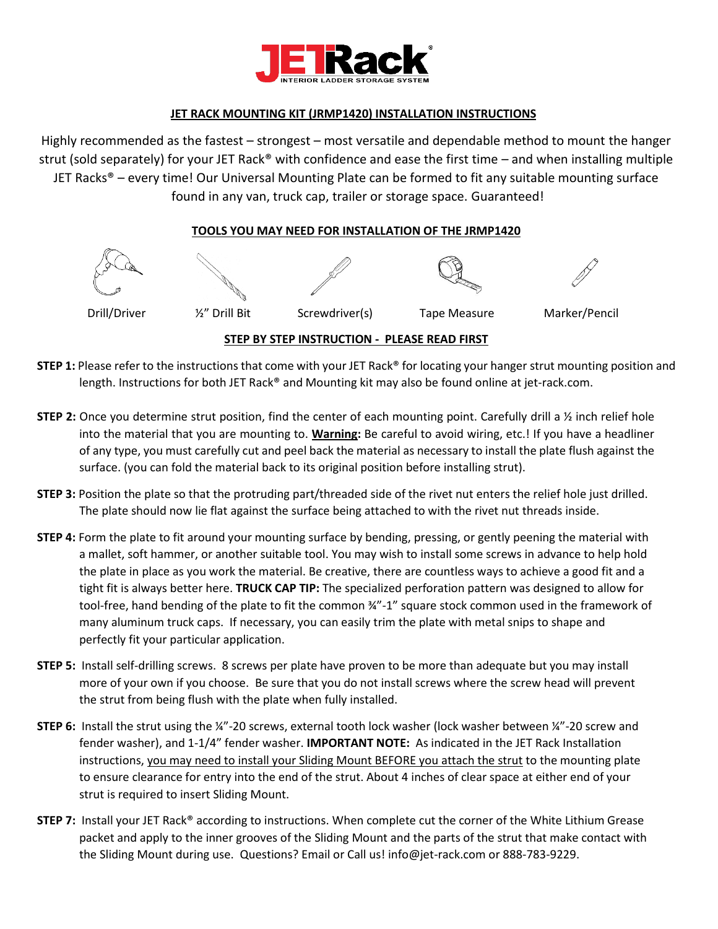

### **JET RACK MOUNTING KIT (JRMP1420) INSTALLATION INSTRUCTIONS**

Highly recommended as the fastest – strongest – most versatile and dependable method to mount the hanger strut (sold separately) for your JET Rack® with confidence and ease the first time – and when installing multiple JET Racks® – every time! Our Universal Mounting Plate can be formed to fit any suitable mounting surface found in any van, truck cap, trailer or storage space. Guaranteed!

#### **TOOLS YOU MAY NEED FOR INSTALLATION OF THE JRMP1420**



- **STEP 1:** Please refer to the instructions that come with your JET Rack® for locating your hanger strut mounting position and length. Instructions for both JET Rack® and Mounting kit may also be found online at jet-rack.com.
- **STEP 2:** Once you determine strut position, find the center of each mounting point. Carefully drill a ½ inch relief hole into the material that you are mounting to. **Warning:** Be careful to avoid wiring, etc.! If you have a headliner of any type, you must carefully cut and peel back the material as necessary to install the plate flush against the surface. (you can fold the material back to its original position before installing strut).
- **STEP 3:** Position the plate so that the protruding part/threaded side of the rivet nut enters the relief hole just drilled. The plate should now lie flat against the surface being attached to with the rivet nut threads inside.
- **STEP 4:** Form the plate to fit around your mounting surface by bending, pressing, or gently peening the material with a mallet, soft hammer, or another suitable tool. You may wish to install some screws in advance to help hold the plate in place as you work the material. Be creative, there are countless ways to achieve a good fit and a tight fit is always better here. **TRUCK CAP TIP:** The specialized perforation pattern was designed to allow for tool-free, hand bending of the plate to fit the common  $\frac{3}{4}$ -1" square stock common used in the framework of many aluminum truck caps. If necessary, you can easily trim the plate with metal snips to shape and perfectly fit your particular application.
- **STEP 5:** Install self-drilling screws. 8 screws per plate have proven to be more than adequate but you may install more of your own if you choose. Be sure that you do not install screws where the screw head will prevent the strut from being flush with the plate when fully installed.
- **STEP 6:** Install the strut using the ¼"-20 screws, external tooth lock washer (lock washer between ¼"-20 screw and fender washer), and 1-1/4" fender washer. **IMPORTANT NOTE:** As indicated in the JET Rack Installation instructions, you may need to install your Sliding Mount BEFORE you attach the strut to the mounting plate to ensure clearance for entry into the end of the strut. About 4 inches of clear space at either end of your strut is required to insert Sliding Mount.
- **STEP 7:** Install your JET Rack® according to instructions. When complete cut the corner of the White Lithium Grease packet and apply to the inner grooves of the Sliding Mount and the parts of the strut that make contact with the Sliding Mount during use. Questions? Email or Call us! info@jet-rack.com or 888-783-9229.